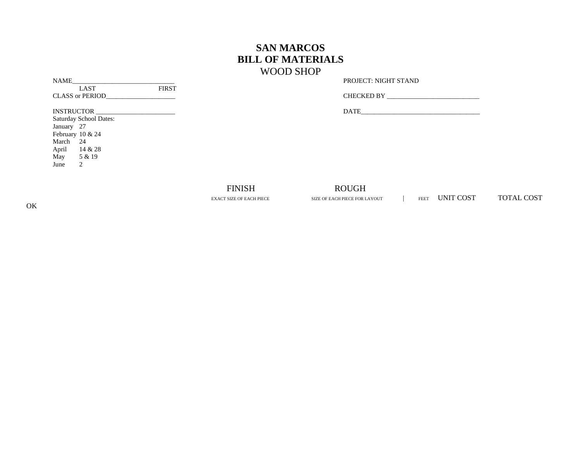## **SAN MARCOS BILL OF MATERIALS** WOOD SHOP

NAME\_\_\_\_\_\_\_\_\_\_\_\_\_\_\_\_\_\_\_\_\_\_\_\_\_\_\_\_\_\_\_ PROJECT: NIGHT STAND

| CUTECUTED.12E |
|---------------|
|---------------|

INSTRUCTOR \_\_\_\_\_\_\_\_\_\_\_\_\_\_\_\_\_\_\_\_\_\_\_\_ DATE\_\_\_\_\_\_\_\_\_\_\_\_\_\_\_\_\_\_\_\_\_\_\_\_\_\_\_\_\_\_\_\_\_\_\_\_

LAST FIRST

Saturday School Dates: January 27 February 10 & 24 March 24 April 14 & 28 May 5 & 19 June 2

## FINISH ROUGH

EXACT SIZE OF EACH PIECE SIZE OF EACH PIECE FOR LAYOUT FEET UNIT COST TOTAL COST

OK